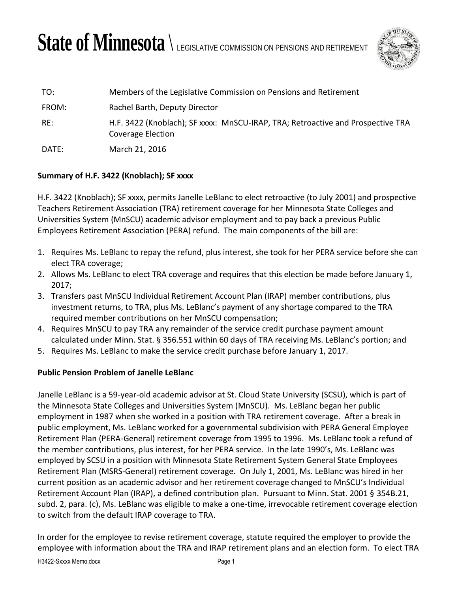# State of Minnesota  $\setminus$  legislative commission on pensions and retirement



| TO:   | Members of the Legislative Commission on Pensions and Retirement                                     |
|-------|------------------------------------------------------------------------------------------------------|
| FROM: | Rachel Barth, Deputy Director                                                                        |
| RE:   | H.F. 3422 (Knoblach); SF xxxx: MnSCU-IRAP, TRA; Retroactive and Prospective TRA<br>Coverage Election |
| DATE: | March 21, 2016                                                                                       |

## **Summary of H.F. 3422 (Knoblach); SF xxxx**

H.F. 3422 (Knoblach); SF xxxx, permits Janelle LeBlanc to elect retroactive (to July 2001) and prospective Teachers Retirement Association (TRA) retirement coverage for her Minnesota State Colleges and Universities System (MnSCU) academic advisor employment and to pay back a previous Public Employees Retirement Association (PERA) refund. The main components of the bill are:

- 1. Requires Ms. LeBlanc to repay the refund, plus interest, she took for her PERA service before she can elect TRA coverage;
- 2. Allows Ms. LeBlanc to elect TRA coverage and requires that this election be made before January 1, 2017;
- 3. Transfers past MnSCU Individual Retirement Account Plan (IRAP) member contributions, plus investment returns, to TRA, plus Ms. LeBlanc's payment of any shortage compared to the TRA required member contributions on her MnSCU compensation;
- 4. Requires MnSCU to pay TRA any remainder of the service credit purchase payment amount calculated under Minn. Stat. § 356.551 within 60 days of TRA receiving Ms. LeBlanc's portion; and
- 5. Requires Ms. LeBlanc to make the service credit purchase before January 1, 2017.

## **Public Pension Problem of Janelle LeBlanc**

Janelle LeBlanc is a 59-year-old academic advisor at St. Cloud State University (SCSU), which is part of the Minnesota State Colleges and Universities System (MnSCU). Ms. LeBlanc began her public employment in 1987 when she worked in a position with TRA retirement coverage. After a break in public employment, Ms. LeBlanc worked for a governmental subdivision with PERA General Employee Retirement Plan (PERA-General) retirement coverage from 1995 to 1996. Ms. LeBlanc took a refund of the member contributions, plus interest, for her PERA service. In the late 1990's, Ms. LeBlanc was employed by SCSU in a position with Minnesota State Retirement System General State Employees Retirement Plan (MSRS-General) retirement coverage. On July 1, 2001, Ms. LeBlanc was hired in her current position as an academic advisor and her retirement coverage changed to MnSCU's Individual Retirement Account Plan (IRAP), a defined contribution plan. Pursuant to Minn. Stat. 2001 § 354B.21, subd. 2, para. (c), Ms. LeBlanc was eligible to make a one-time, irrevocable retirement coverage election to switch from the default IRAP coverage to TRA.

In order for the employee to revise retirement coverage, statute required the employer to provide the employee with information about the TRA and IRAP retirement plans and an election form. To elect TRA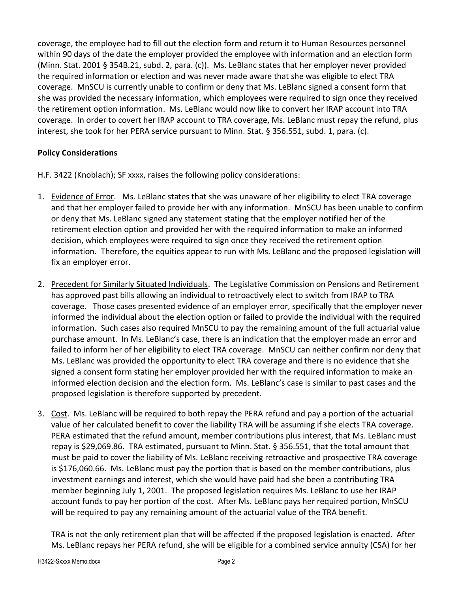coverage, the employee had to fill out the election form and return it to Human Resources personnel within 90 days of the date the employer provided the employee with information and an election form (Minn. Stat. 2001 § 354B.21, subd. 2, para. (c)). Ms. LeBlanc states that her employer never provided the required information or election and was never made aware that she was eligible to elect TRA coverage. MnSCU is currently unable to confirm or deny that Ms. LeBlanc signed a consent form that she was provided the necessary information, which employees were required to sign once they received the retirement option information. Ms. LeBlanc would now like to convert her IRAP account into TRA coverage. In order to covert her IRAP account to TRA coverage, Ms. LeBlanc must repay the refund, plus interest, she took for her PERA service pursuant to Minn. Stat. § 356.551, subd. 1, para. (c).

# **Policy Considerations**

H.F. 3422 (Knoblach); SF xxxx, raises the following policy considerations:

- 1. Evidence of Error. Ms. LeBlanc states that she was unaware of her eligibility to elect TRA coverage and that her employer failed to provide her with any information. MnSCU has been unable to confirm or deny that Ms. LeBlanc signed any statement stating that the employer notified her of the retirement election option and provided her with the required information to make an informed decision, which employees were required to sign once they received the retirement option information. Therefore, the equities appear to run with Ms. LeBlanc and the proposed legislation will fix an employer error.
- 2. Precedent for Similarly Situated Individuals. The Legislative Commission on Pensions and Retirement has approved past bills allowing an individual to retroactively elect to switch from IRAP to TRA coverage. Those cases presented evidence of an employer error, specifically that the employer never informed the individual about the election option or failed to provide the individual with the required information. Such cases also required MnSCU to pay the remaining amount of the full actuarial value purchase amount. In Ms. LeBlanc's case, there is an indication that the employer made an error and failed to inform her of her eligibility to elect TRA coverage. MnSCU can neither confirm nor deny that Ms. LeBlanc was provided the opportunity to elect TRA coverage and there is no evidence that she signed a consent form stating her employer provided her with the required information to make an informed election decision and the election form. Ms. LeBlanc's case is similar to past cases and the proposed legislation is therefore supported by precedent.
- 3. Cost. Ms. LeBlanc will be required to both repay the PERA refund and pay a portion of the actuarial value of her calculated benefit to cover the liability TRA will be assuming if she elects TRA coverage. PERA estimated that the refund amount, member contributions plus interest, that Ms. LeBlanc must repay is \$29,069.86. TRA estimated, pursuant to Minn. Stat. § 356.551, that the total amount that must be paid to cover the liability of Ms. LeBlanc receiving retroactive and prospective TRA coverage is \$176,060.66. Ms. LeBlanc must pay the portion that is based on the member contributions, plus investment earnings and interest, which she would have paid had she been a contributing TRA member beginning July 1, 2001. The proposed legislation requires Ms. LeBlanc to use her IRAP account funds to pay her portion of the cost. After Ms. LeBlanc pays her required portion, MnSCU will be required to pay any remaining amount of the actuarial value of the TRA benefit.

TRA is not the only retirement plan that will be affected if the proposed legislation is enacted. After Ms. LeBlanc repays her PERA refund, she will be eligible for a combined service annuity (CSA) for her